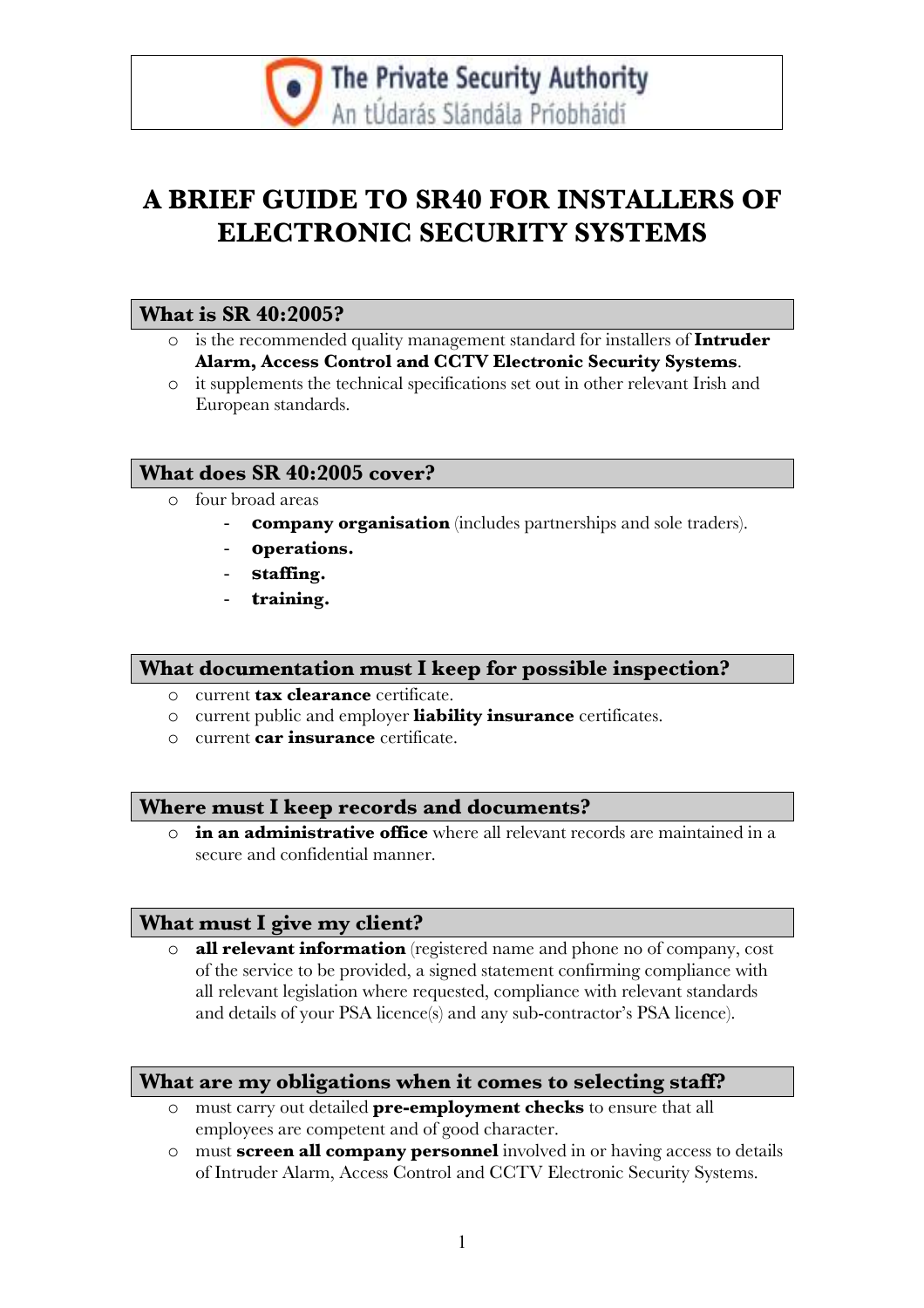

## A BRIEF GUIDE TO SR40 FOR INSTALLERS OF ELECTRONIC SECURITY SYSTEMS

#### What is SR 40:2005?

- o is the recommended quality management standard for installers of Intruder Alarm, Access Control and CCTV Electronic Security Systems.
- o it supplements the technical specifications set out in other relevant Irish and European standards.

## What does SR 40:2005 cover?

- o four broad areas
	- **company organisation** (includes partnerships and sole traders).
	- operations.
	- staffing.
	- training.

#### What documentation must I keep for possible inspection?

- o current **tax clearance** certificate.
- o current public and employer liability insurance certificates.
- o current **car insurance** certificate.

#### Where must I keep records and documents?

in an administrative office where all relevant records are maintained in a secure and confidential manner.

#### What must I give my client?

o all relevant information (registered name and phone no of company, cost of the service to be provided, a signed statement confirming compliance with all relevant legislation where requested, compliance with relevant standards and details of your PSA licence(s) and any sub-contractor's PSA licence).

## What are my obligations when it comes to selecting staff?

- o must carry out detailed pre-employment checks to ensure that all employees are competent and of good character.
- $\circ$  must **screen all company personnel** involved in or having access to details of Intruder Alarm, Access Control and CCTV Electronic Security Systems.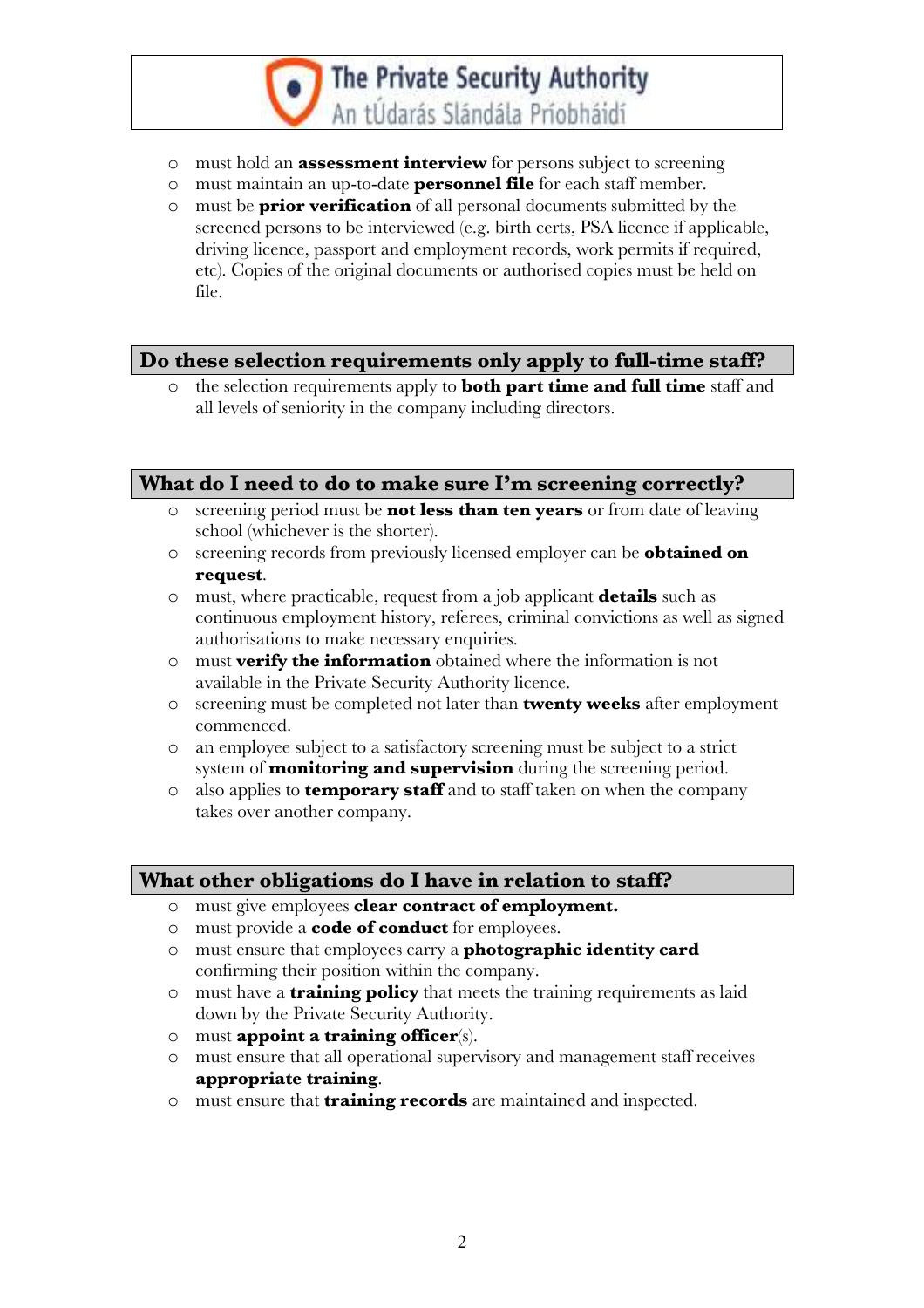# The Private Security Authority An tÚdarás Slándála Príobháidí

- o must hold an assessment interview for persons subject to screening
- o must maintain an up-to-date personnel file for each staff member.
- o must be prior verification of all personal documents submitted by the screened persons to be interviewed (e.g. birth certs, PSA licence if applicable, driving licence, passport and employment records, work permits if required, etc). Copies of the original documents or authorised copies must be held on file.

## Do these selection requirements only apply to full-time staff?

the selection requirements apply to **both part time and full time** staff and all levels of seniority in the company including directors.

## What do I need to do to make sure I'm screening correctly?

- o screening period must be **not less than ten years** or from date of leaving school (whichever is the shorter).
- o screening records from previously licensed employer can be obtained on request.
- o must, where practicable, request from a job applicant details such as continuous employment history, referees, criminal convictions as well as signed authorisations to make necessary enquiries.
- o must verify the information obtained where the information is not available in the Private Security Authority licence.
- o screening must be completed not later than **twenty weeks** after employment commenced.
- o an employee subject to a satisfactory screening must be subject to a strict system of **monitoring and supervision** during the screening period.
- $\circ$  also applies to **temporary staff** and to staff taken on when the company takes over another company.

## What other obligations do I have in relation to staff?

- o must give employees clear contract of employment.
- o must provide a code of conduct for employees.
- o must ensure that employees carry a photographic identity card confirming their position within the company.
- o must have a **training policy** that meets the training requirements as laid down by the Private Security Authority.
- $\circ$  must appoint a training officer(s).
- o must ensure that all operational supervisory and management staff receives appropriate training.
- o must ensure that training records are maintained and inspected.